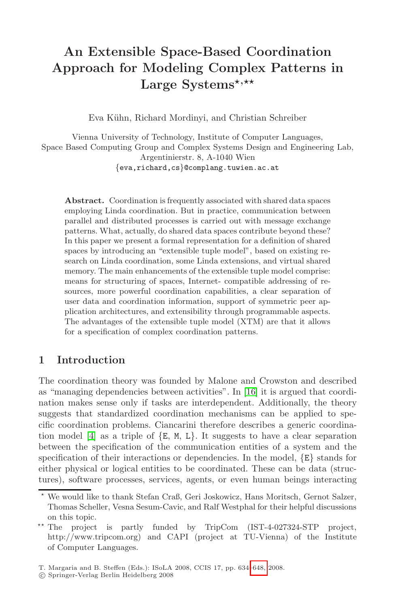# **An Extensible Space-Based Coordination Approach for Modeling Complex Patterns in** Large Systems\*<sup>\*\*\*</sup>

Eva Kühn, Richard Mordinyi, and Christian Schreiber

Vienna University of Technology, Institute of Computer Languages, Space Based Computing Group and Complex Systems Design and Engineering Lab, Argentinierstr. 8, A-1040 Wien {eva,richard,cs}@complang.tuwien.ac.at

**Abstract.** Coordination is frequently associated with shared data spaces employing Linda coordination. But in practice, communication between parallel and distributed processes is carried out with message exchange patterns. What, actually, do shared data spaces contribute beyond these? In this paper we present a formal representation for a definition of shared spaces by introducing an "extensible tuple model", based on existing research on Linda coordination, some Linda extensions, and virtual shared memory. The main enhancements of the extensible tuple model comprise: means for structuring of spaces, Internet- compatible addressing of resources, more powerful coordination capabilities, a clear separation of user data and coordination information, support of symmetric peer application architectures, and extensibility through programmable aspects. The advantages of the extensible tuple model (XTM) are that it allows for a specification of complex coordination patterns.

# **1 Introduction**

The coordination theory was founded by Malone and Crowston and described as "managing dependencies between activities". In [\[16\]](#page-13-0) it is argued that coordination makes sense only if tasks are interdependent. Additionally, the theory suggests that standardized coordination mechanisms can be applied to specific coordination problems. Ciancarini therefore describes a generic coordina-tion model [\[4\]](#page-13-1) as a triple of  $\{E, M, L\}$ . It suggests to have a clear separation between the specification of the communication entities of a system and the specification of their interactions or dependencies. In the model,  $\{E\}$  stands for either physical or logical entities to be coordinated. These can be data (structures), software processes, services, agents, or even human beings interacting

<sup>-</sup> We would like to thank Stefan Craß, Geri Joskowicz, Hans Moritsch, Gernot Salzer, Thomas Scheller, Vesna Sesum-Cavic, and Ralf Westphal for their helpful discussions on this topic.

<sup>\*\*</sup> The project is partly funded by TripCom (IST-4-027324-STP project, http://www.tripcom.org) and CAPI (project at TU-Vienna) of the Institute of Computer Languages.

T. Margaria and B. Steffen (Eds.): ISoLA 2008, CCIS 17, pp. 634[–648,](#page-14-0) 2008.

<sup>-</sup>c Springer-Verlag Berlin Heidelberg 2008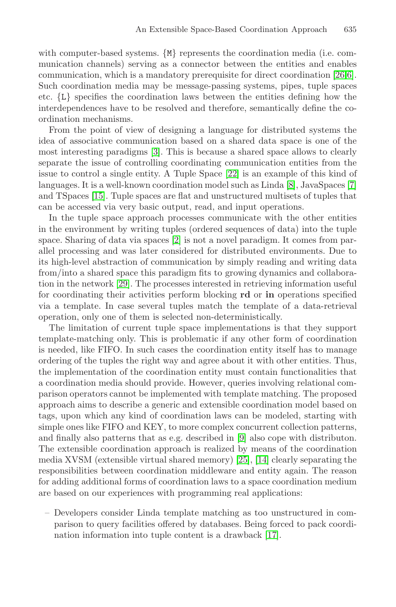with computer-based systems.  $\{M\}$  represents the coordination media (i.e. communication channels) serving as a connector between the entities and enables communication, which is a mandatory prerequisite for direct coordination [\[26](#page-14-1)[,6\]](#page-13-2). Such coordination media may be message-passing systems, pipes, tuple spaces etc.  ${L}$  specifies the coordination laws between the entities defining how the interdependences have to be resolved and therefore, semantically define the coordination mechanisms.

From the point of view of designing a language for distributed systems the idea of associative communication based on a shared data space is one of the most interesting paradigms [\[3\]](#page-13-3). This is because a shared space allows to clearly separate the issue of controlling coordinating communication entities from the issue to control a single entity. A Tuple Space [\[22\]](#page-14-2) is an example of this kind of languages. It is a well-known coordination model such as Linda [\[8\]](#page-13-4), JavaSpaces [\[7\]](#page-13-5) and TSpaces [\[15\]](#page-13-6). Tuple spaces are flat and unstructured multisets of tuples that can be accessed via very basic output, read, and input operations.

In the tuple space approach processes communicate with the other entities in the environment by writing tuples (ordered sequences of data) into the tuple space. Sharing of data via spaces [\[2\]](#page-13-7) is not a novel paradigm. It comes from parallel processing and was later considered for distributed environments. Due to its high-level abstraction of communication by simply reading and writing data from/into a shared space this paradigm fits to growing dynamics and collaboration in the network [\[29\]](#page-14-3). The processes interested in retrieving information useful for coordinating their activities perform blocking **rd** or **in** operations specified via a template. In case several tuples match the template of a data-retrieval operation, only one of them is selected non-deterministically.

The limitation of current tuple space implementations is that they support template-matching only. This is problematic if any other form of coordination is needed, like FIFO. In such cases the coordination entity itself has to manage ordering of the tuples the right way and agree about it with other entities. Thus, the implementation of the coordination entity must contain functionalities that a coordination media should provide. However, queries involving relational comparison operators cannot be implemented with template matching. The proposed approach aims to describe a generic and extensible coordination model based on tags, upon which any kind of coordination laws can be modeled, starting with simple ones like FIFO and KEY, to more complex concurrent collection patterns, and finally also patterns that as e.g. described in [\[9\]](#page-13-8) also cope with distributon. The extensible coordination approach is realized by means of the coordination media XVSM (extensible virtual shared memory) [\[25\]](#page-14-4), [\[14\]](#page-13-9) clearly separating the responsibilities between coordination middleware and entity again. The reason for adding additional forms of coordination laws to a space coordination medium are based on our experiences with programming real applications:

– Developers consider Linda template matching as too unstructured in comparison to query facilities offered by databases. Being forced to pack coordination information into tuple content is a drawback [\[17\]](#page-13-10).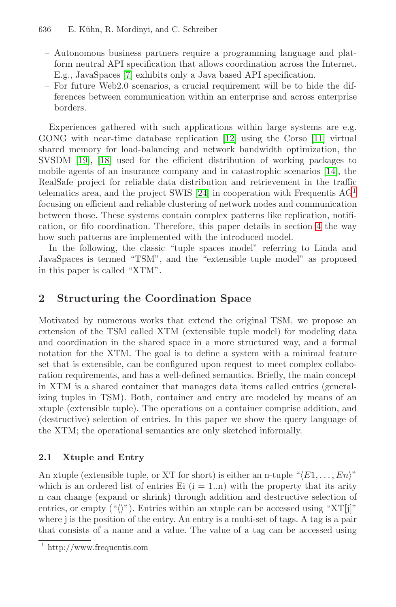- Autonomous business partners require a programming language and platform neutral API specification that allows coordination across the Internet. E.g., JavaSpaces [\[7\]](#page-13-5) exhibits only a Java based API specification.
- For future Web2.0 scenarios, a crucial requirement will be to hide the differences between communication within an enterprise and across enterprise borders.

Experiences gathered with such applications within large systems are e.g. GONG with near-time database replication [\[12\]](#page-13-11) using the Corso [\[11\]](#page-13-12) virtual shared memory for load-balancing and network bandwidth optimization, the SVSDM [\[19\]](#page-14-5), [\[18\]](#page-14-6) used for the efficient distribution of working packages to mobile agents of an insurance company and in catastrophic scenarios [\[14\]](#page-13-9), the RealSafe project for reliable data distribution and retrievement in the traffic telematics area, and the project SWIS [\[24\]](#page-14-7) in cooperation with Frequentis  $AG<sup>1</sup>$  $AG<sup>1</sup>$  $AG<sup>1</sup>$ focusing on efficient and reliable clustering of network nodes and communication between those. These systems contain complex patterns like replication, notification, or fifo coordination. Therefore, this paper details in section [4](#page-8-0) the way how such patterns are implemented with the introduced model.

In the following, the classic "tuple spaces model" referring to Linda and JavaSpaces is termed "TSM", and the "extensible tuple model" as proposed in this paper is called "XTM".

# **2 Structuring the Coordination Space**

Motivated by numerous works that extend the original TSM, we propose an extension of the TSM called XTM (extensible tuple model) for modeling data and coordination in the shared space in a more structured way, and a formal notation for the XTM. The goal is to define a system with a minimal feature set that is extensible, can be configured upon request to meet complex collaboration requirements, and has a well-defined semantics. Briefly, the main concept in XTM is a shared container that manages data items called entries (generalizing tuples in TSM). Both, container and entry are modeled by means of an xtuple (extensible tuple). The operations on a container comprise addition, and (destructive) selection of entries. In this paper we show the query language of the XTM; the operational semantics are only sketched informally.

### **2.1 Xtuple and Entry**

An xtuple (extensible tuple, or XT for short) is either an n-tuple  $\sqrt{\langle E1, \ldots, En \rangle}$ " which is an ordered list of entries Ei  $(i = 1..n)$  with the property that its arity n can change (expand or shrink) through addition and destructive selection of entries, or empty  $({\cal C})$ . Entries within an xtuple can be accessed using "XT[j]" where j is the position of the entry. An entry is a multi-set of tags. A tag is a pair that consists of a name and a value. The value of a tag can be accessed using

<span id="page-2-0"></span><sup>1</sup> http://www.frequentis.com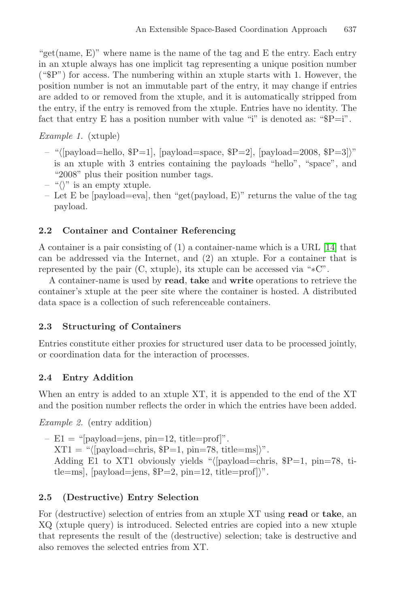"get(name,  $E$ )" where name is the name of the tag and E the entry. Each entry in an xtuple always has one implicit tag representing a unique position number ("\$P") for access. The numbering within an xtuple starts with 1. However, the position number is not an immutable part of the entry, it may change if entries are added to or removed from the xtuple, and it is automatically stripped from the entry, if the entry is removed from the xtuple. Entries have no identity. The fact that entry E has a position number with value "i" is denoted as: " $P=i$ ".

Example 1. (xtuple)

- $-$  " $\langle$ [payload=hello, \$P=1], [payload=space, \$P=2], [payload=2008, \$P=3] $\rangle$ " is an xtuple with 3 entries containing the payloads "hello", "space", and "2008" plus their position number tags.
- $-$  " $\langle \rangle$ " is an empty xtuple.
- Let E be [payload=eva], then "get(payload, E)" returns the value of the tag payload.

#### **2.2 Container and Container Referencing**

A container is a pair consisting of (1) a container-name which is a URL [\[14\]](#page-13-9) that can be addressed via the Internet, and (2) an xtuple. For a container that is represented by the pair (C, xtuple), its xtuple can be accessed via "∗C".

A container-name is used by **read**, **take** and **write** operations to retrieve the container's xtuple at the peer site where the container is hosted. A distributed data space is a collection of such referenceable containers.

#### **2.3 Structuring of Containers**

Entries constitute either proxies for structured user data to be processed jointly, or coordination data for the interaction of processes.

#### **2.4 Entry Addition**

When an entry is added to an xtuple XT, it is appended to the end of the XT and the position number reflects the order in which the entries have been added.

Example 2. (entry addition)

 $– E1 = "payload=jens, pin=12, title=prof]$ ".  $XT1 = \frac{\text{``}}{\text{payload} = \text{chris}, \$P = 1, \text{pin} = 78, \text{ title} = \text{ms}}$ ". Adding E1 to XT1 obviously yields " $\langle$ [payload=chris, \$P=1, pin=78, title=ms],  $[payload=jens, $P=2, pin=12, title=prof]$ ".

#### **2.5 (Destructive) Entry Selection**

For (destructive) selection of entries from an xtuple XT using **read** or **take**, an XQ (xtuple query) is introduced. Selected entries are copied into a new xtuple that represents the result of the (destructive) selection; take is destructive and also removes the selected entries from XT.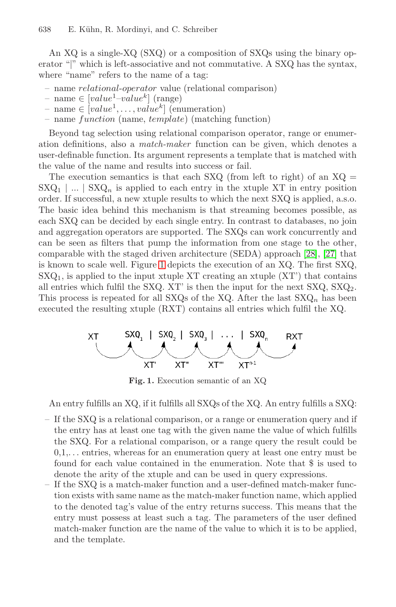An XQ is a single-XQ (SXQ) or a composition of SXQs using the binary operator "|" which is left-associative and not commutative. A SXQ has the syntax, where "name" refers to the name of a tag:

- name relational-operator value (relational comparison)
- name ∈  $[value^1$ -value<sup>k</sup>] (range)
- name ∈ [value<sup>1</sup>, ..., value<sup>k</sup>] (enumeration)
- name function (name, template) (matching function)

Beyond tag selection using relational comparison operator, range or enumeration definitions, also a match-maker function can be given, which denotes a user-definable function. Its argument represents a template that is matched with the value of the name and results into success or fail.

The execution semantics is that each  $S X Q$  (from left to right) of an  $X Q =$  $SXQ_1$  ... |  $SXQ_n$  is applied to each entry in the xtuple XT in entry position order. If successful, a new xtuple results to which the next SXQ is applied, a.s.o. The basic idea behind this mechanism is that streaming becomes possible, as each SXQ can be decided by each single entry. In contrast to databases, no join and aggregation operators are supported. The SXQs can work concurrently and can be seen as filters that pump the information from one stage to the other, comparable with the staged driven architecture (SEDA) approach [\[28\]](#page-14-8), [\[27\]](#page-14-9) that is known to scale well. Figure [1](#page-4-0) depicts the execution of an XQ. The first SXQ,  $SXQ_1$ , is applied to the input xtuple XT creating an xtuple  $(XT')$  that contains all entries which fulfil the SXQ. XT' is then the input for the next  $\text{SXQ}, \text{SXQ}_2$ . This process is repeated for all SXQs of the XQ. After the last  $S X Q_n$  has been executed the resulting xtuple (RXT) contains all entries which fulfil the XQ.



<span id="page-4-0"></span>**Fig. 1.** Execution semantic of an XQ

An entry fulfills an XQ, if it fulfills all SXQs of the XQ. An entry fulfills a SXQ:

- If the SXQ is a relational comparison, or a range or enumeration query and if the entry has at least one tag with the given name the value of which fulfills the SXQ. For a relational comparison, or a range query the result could be  $0,1,\ldots$  entries, whereas for an enumeration query at least one entry must be found for each value contained in the enumeration. Note that \$ is used to denote the arity of the xtuple and can be used in query expressions.
- If the SXQ is a match-maker function and a user-defined match-maker function exists with same name as the match-maker function name, which applied to the denoted tag's value of the entry returns success. This means that the entry must possess at least such a tag. The parameters of the user defined match-maker function are the name of the value to which it is to be applied, and the template.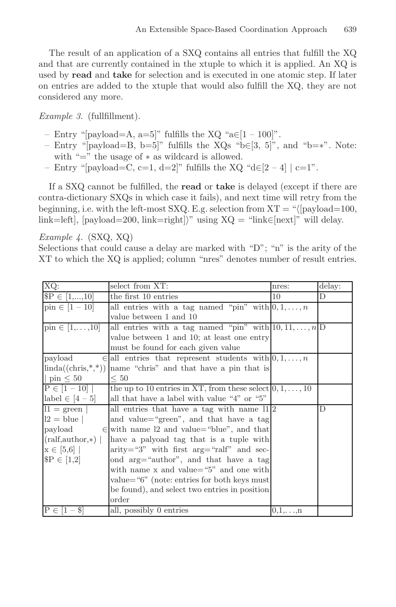The result of an application of a SXQ contains all entries that fulfill the XQ and that are currently contained in the xtuple to which it is applied. An XQ is used by **read** and **take** for selection and is executed in one atomic step. If later on entries are added to the xtuple that would also fulfill the XQ, they are not considered any more.

Example 3. (fullfillment).

- Entry "[payload=A, a=5]" fulfills the XQ "a∈[1 100]".
- Entry "[payload=B, b=5]" fulfills the XQs "b∈[3, 5]", and "b= $\ast$ ". Note: with "=" the usage of  $*$  as wildcard is allowed.
- Entry "[payload=C, c=1, d=2]" fulfills the XQ "d∈[2 4] | c=1".

If a SXQ cannot be fulfilled, the **read** or **take** is delayed (except if there are contra-dictionary SXQs in which case it fails), and next time will retry from the beginning, i.e. with the left-most SXQ. E.g. selection from  $XT = \frac{\text{``}}{\text{payload}=100}$ , link=left], [payload=200, link=right])" using  $XQ = "link \in [next]$ " will delay.

Example 4. (SXQ, XQ)

Selections that could cause a delay are marked with "D"; "n" is the arity of the XT to which the XQ is applied; column "nres" denotes number of result entries.

| XQ:                               | select from XT:                                                                                    | nres:          | delay: |
|-----------------------------------|----------------------------------------------------------------------------------------------------|----------------|--------|
| $P \in [1,,10]$                   | the first 10 entries                                                                               | 10             | D      |
| $pin \in [1 - 10]$                | all entries with a tag named "pin" with $0, 1, , n$                                                |                |        |
|                                   | value between 1 and 10                                                                             |                |        |
| $\text{pin} \in [1, \ldots, 10]$  | all entries with a tag named "pin" with $[10, 11, \ldots, n]$ D                                    |                |        |
|                                   | value between 1 and 10; at least one entry                                                         |                |        |
|                                   | must be found for each given value                                                                 |                |        |
| payload                           | all entries that represent students with $[0, 1, \ldots, n]$                                       |                |        |
|                                   | $\text{linda}((\text{chris},\ddot{a},\ddot{a},\ddot{b}))$ name "chris" and that have a pin that is |                |        |
| pin $\leq 50$                     | < 50                                                                                               |                |        |
| $P \in [1 - 10]$                  | the up to 10 entries in XT, from these select $[0, 1, \ldots, 10]$                                 |                |        |
| label $\in$ [4 - 5]               | all that have a label with value "4" or "5"                                                        |                |        |
| $11 = \text{green}$               | all entries that have a tag with name $11/2$                                                       |                | D      |
| $12 = blue$                       | and value="green", and that have a tag                                                             |                |        |
| payload                           | $\in$ with name 12 and value="blue", and that                                                      |                |        |
| $(\text{ralf}, \text{author}, *)$ | have a palyoad tag that is a tuple with                                                            |                |        |
| $x \in [5,6]$                     | $arity = "3"$ with first $arg = "ralf"$ and sec-                                                   |                |        |
| $P \in [1,2]$                     | ond arg="author", and that have a tag                                                              |                |        |
|                                   | with name x and value= $45$ " and one with                                                         |                |        |
|                                   | value=" $6"$ (note: entries for both keys must                                                     |                |        |
|                                   | be found), and select two entries in position                                                      |                |        |
|                                   | order                                                                                              |                |        |
| $P \in [1 - \$]$                  | all, possibly 0 entries                                                                            | $0,1,\ldots,n$ |        |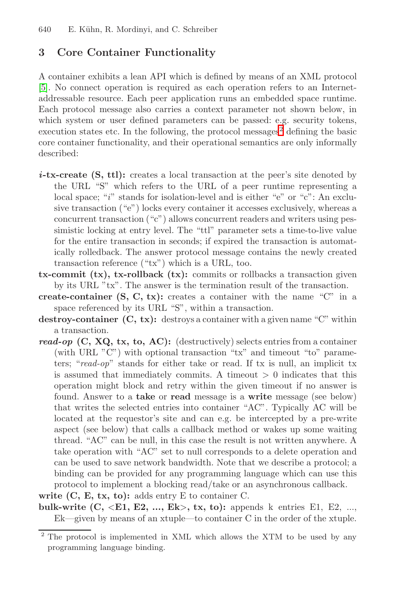### **3 Core Container Functionality**

A container exhibits a lean API which is defined by means of an XML protocol [\[5\]](#page-13-13). No connect operation is required as each operation refers to an Internetaddressable resource. Each peer application runs an embedded space runtime. Each protocol message also carries a context parameter not shown below, in which system or user defined parameters can be passed: e.g. security tokens, execution states etc. In the following, the protocol messages<sup>[2](#page-6-0)</sup> defining the basic core container functionality, and their operational semantics are only informally described:

- *i***-tx-create (S, ttl):** creates a local transaction at the peer's site denoted by the URL "S" which refers to the URL of a peer runtime representing a local space; "i" stands for isolation-level and is either "e" or "c": An exclusive transaction ("e") locks every container it accesses exclusively, whereas a concurrent transaction ("c") allows concurrent readers and writers using pessimistic locking at entry level. The "ttl" parameter sets a time-to-live value for the entire transaction in seconds; if expired the transaction is automatically rolledback. The answer protocol message contains the newly created transaction reference ("tx") which is a URL, too.
- **tx-commit (tx), tx-rollback (tx):** commits or rollbacks a transaction given by its URL "tx". The answer is the termination result of the transaction.
- **create-container (S, C, tx):** creates a container with the name "C" in a space referenced by its URL "S", within a transaction.
- **destroy-container (C, tx):** destroys a container with a given name "C" within a transaction.
- *read-op* **(C, XQ, tx, to, AC):** (destructively) selects entries from a container (with URL "C") with optional transaction "tx" and timeout "to" parameters; "read-op" stands for either take or read. If tx is null, an implicit tx is assumed that immediately commits. A timeout  $> 0$  indicates that this operation might block and retry within the given timeout if no answer is found. Answer to a **take** or **read** message is a **write** message (see below) that writes the selected entries into container "AC". Typically AC will be located at the requestor's site and can e.g. be intercepted by a pre-write aspect (see below) that calls a callback method or wakes up some waiting thread. "AC" can be null, in this case the result is not written anywhere. A take operation with "AC" set to null corresponds to a delete operation and can be used to save network bandwidth. Note that we describe a protocol; a binding can be provided for any programming language which can use this protocol to implement a blocking read/take or an asynchronous callback.

**write (C, E, tx, to):** adds entry E to container C.

**bulk-write (C,** <**E1, E2, ..., Ek**>**, tx, to):** appends k entries E1, E2, ..., Ek—given by means of an xtuple—to container C in the order of the xtuple.

<span id="page-6-0"></span><sup>2</sup> The protocol is implemented in XML which allows the XTM to be used by any programming language binding.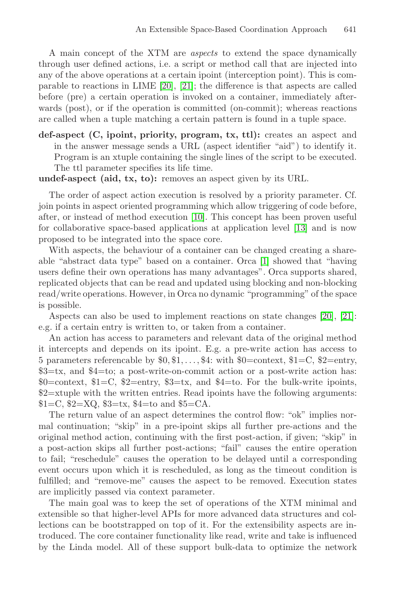A main concept of the XTM are aspects to extend the space dynamically through user defined actions, i.e. a script or method call that are injected into any of the above operations at a certain ipoint (interception point). This is comparable to reactions in LIME [\[20\]](#page-14-10), [\[21\]](#page-14-11); the difference is that aspects are called before (pre) a certain operation is invoked on a container, immediately afterwards (post), or if the operation is committed (on-commit); whereas reactions are called when a tuple matching a certain pattern is found in a tuple space.

**def-aspect (C, ipoint, priority, program, tx, ttl):** creates an aspect and in the answer message sends a URL (aspect identifier "aid") to identify it. Program is an xtuple containing the single lines of the script to be executed. The ttl parameter specifies its life time.

**undef-aspect (aid, tx, to):** removes an aspect given by its URL.

The order of aspect action execution is resolved by a priority parameter. Cf. join points in aspect oriented programming which allow triggering of code before, after, or instead of method execution [\[10\]](#page-13-14). This concept has been proven useful for collaborative space-based applications at application level [\[13\]](#page-13-15) and is now proposed to be integrated into the space core.

With aspects, the behaviour of a container can be changed creating a shareable "abstract data type" based on a container. Orca [\[1\]](#page-13-16) showed that "having users define their own operations has many advantages". Orca supports shared, replicated objects that can be read and updated using blocking and non-blocking read/write operations. However, in Orca no dynamic "programming" of the space is possible.

Aspects can also be used to implement reactions on state changes [\[20\]](#page-14-10), [\[21\]](#page-14-11): e.g. if a certain entry is written to, or taken from a container.

An action has access to parameters and relevant data of the original method it intercepts and depends on its ipoint. E.g. a pre-write action has access to 5 parameters referencable by  $0, 1, \ldots, 4$ : with  $0 = \text{context}, 1 = C$ ,  $2 = \text{entry},$ \$3=tx, and \$4=to; a post-write-on-commit action or a post-write action has:  $0 = \text{context}, 1 = C, 2 = \text{entry}, 3 = tx, \text{ and } 4 = \text{to}.$  For the bulk-write ipoints, \$2=xtuple with the written entries. Read ipoints have the following arguments:  $-1 = C$ ,  $2 = XQ$ ,  $3 = tx$ ,  $4 = to$  and  $5 = CA$ .

The return value of an aspect determines the control flow: "ok" implies normal continuation; "skip" in a pre-ipoint skips all further pre-actions and the original method action, continuing with the first post-action, if given; "skip" in a post-action skips all further post-actions; "fail" causes the entire operation to fail; "reschedule" causes the operation to be delayed until a corresponding event occurs upon which it is rescheduled, as long as the timeout condition is fulfilled; and "remove-me" causes the aspect to be removed. Execution states are implicitly passed via context parameter.

The main goal was to keep the set of operations of the XTM minimal and extensible so that higher-level APIs for more advanced data structures and collections can be bootstrapped on top of it. For the extensibility aspects are introduced. The core container functionality like read, write and take is influenced by the Linda model. All of these support bulk-data to optimize the network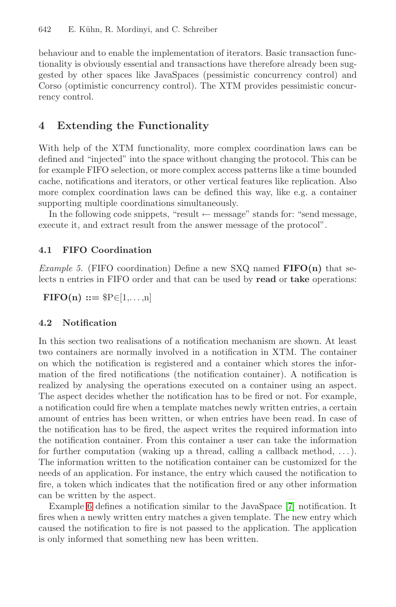behaviour and to enable the implementation of iterators. Basic transaction functionality is obviously essential and transactions have therefore already been suggested by other spaces like JavaSpaces (pessimistic concurrency control) and Corso (optimistic concurrency control). The XTM provides pessimistic concurrency control.

# <span id="page-8-0"></span>**4 Extending the Functionality**

With help of the XTM functionality, more complex coordination laws can be defined and "injected" into the space without changing the protocol. This can be for example FIFO selection, or more complex access patterns like a time bounded cache, notifications and iterators, or other vertical features like replication. Also more complex coordination laws can be defined this way, like e.g. a container supporting multiple coordinations simultaneously.

In the following code snippets, "result  $\leftarrow$  message" stands for: "send message, execute it, and extract result from the answer message of the protocol".

## **4.1 FIFO Coordination**

Example 5. (FIFO coordination) Define a new SXQ named **FIFO(n)** that selects n entries in FIFO order and that can be used by **read** or **take** operations:

 $$ 

### **4.2 Notification**

In this section two realisations of a notification mechanism are shown. At least two containers are normally involved in a notification in XTM. The container on which the notification is registered and a container which stores the information of the fired notifications (the notification container). A notification is realized by analysing the operations executed on a container using an aspect. The aspect decides whether the notification has to be fired or not. For example, a notification could fire when a template matches newly written entries, a certain amount of entries has been written, or when entries have been read. In case of the notification has to be fired, the aspect writes the required information into the notification container. From this container a user can take the information for further computation (waking up a thread, calling a callback method, . . .). The information written to the notification container can be customized for the needs of an application. For instance, the entry which caused the notification to fire, a token which indicates that the notification fired or any other information can be written by the aspect.

Example [6](#page-9-0) defines a notification similar to the JavaSpace [\[7\]](#page-13-5) notification. It fires when a newly written entry matches a given template. The new entry which caused the notification to fire is not passed to the application. The application is only informed that something new has been written.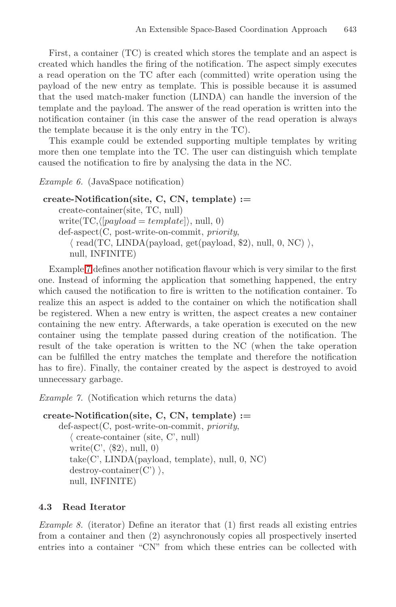First, a container (TC) is created which stores the template and an aspect is created which handles the firing of the notification. The aspect simply executes a read operation on the TC after each (committed) write operation using the payload of the new entry as template. This is possible because it is assumed that the used match-maker function (LINDA) can handle the inversion of the template and the payload. The answer of the read operation is written into the notification container (in this case the answer of the read operation is always the template because it is the only entry in the TC).

This example could be extended supporting multiple templates by writing more then one template into the TC. The user can distinguish which template caused the notification to fire by analysing the data in the NC.

<span id="page-9-0"></span>Example 6. (JavaSpace notification)

```
create-Notification(site, C, CN, template) :=
    create-container(site, TC, null)
    write(TC,\langle[payload = template]\rangle, null, 0)
    def-aspect(C, post-write-on-commit, priority,
        \langle \text{read}(\text{TC}, \text{LINDA}(\text{payload}, \text{get}(\text{payload}, \text{$}2), \text{null}, 0, \text{NC}) \ranglenull, INFINITE)
```
Example [7](#page-9-1) defines another notification flavour which is very similar to the first one. Instead of informing the application that something happened, the entry which caused the notification to fire is written to the notification container. To realize this an aspect is added to the container on which the notification shall be registered. When a new entry is written, the aspect creates a new container containing the new entry. Afterwards, a take operation is executed on the new container using the template passed during creation of the notification. The result of the take operation is written to the NC (when the take operation can be fulfilled the entry matches the template and therefore the notification has to fire). Finally, the container created by the aspect is destroyed to avoid unnecessary garbage.

<span id="page-9-1"></span>Example 7. (Notification which returns the data)

```
create-Notification(site, C, CN, template) :=
   def-aspect(C, post-write-on-commit, priority,
      -
create-container (site, C', null)
      write(C', \langle 2 \rangle, null, 0)
      take(C', LINDA(payload, template), null, 0, NC)
      destroy\text{-}container(C'),
      null, INFINITE)
```
#### **4.3 Read Iterator**

*Example 8.* (iterator) Define an iterator that  $(1)$  first reads all existing entries from a container and then (2) asynchronously copies all prospectively inserted entries into a container "CN" from which these entries can be collected with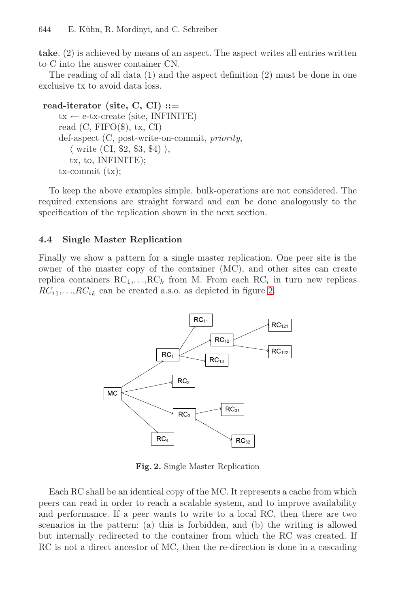**take**. (2) is achieved by means of an aspect. The aspect writes all entries written to C into the answer container CN.

The reading of all data (1) and the aspect definition (2) must be done in one exclusive tx to avoid data loss.

```
read-iterator (site, C, CI) ::=
   tx \leftarrow e-tx-create (site, INFINITE)
   read (C, FIFO(\text{\$}), tx, CI)def-aspect (C, post-write-on-commit, priority,
       \langle write (CI, $2, $3, $4) \rangle,
      tx, to, INFINITE);
   tx-commit (tx);
```
To keep the above examples simple, bulk-operations are not considered. The required extensions are straight forward and can be done analogously to the specification of the replication shown in the next section.

### **4.4 Single Master Replication**

Finally we show a pattern for a single master replication. One peer site is the owner of the master copy of the container (MC), and other sites can create replica containers  $RC_1, \ldots, RC_k$  from M. From each  $RC_i$  in turn new replicas  $RC_{i_1}, \ldots, RC_{i_k}$  can be created a.s.o. as depicted in figure [2.](#page-10-0)



<span id="page-10-0"></span>**Fig. 2.** Single Master Replication

Each RC shall be an identical copy of the MC. It represents a cache from which peers can read in order to reach a scalable system, and to improve availability and performance. If a peer wants to write to a local RC, then there are two scenarios in the pattern: (a) this is forbidden, and (b) the writing is allowed but internally redirected to the container from which the RC was created. If RC is not a direct ancestor of MC, then the re-direction is done in a cascading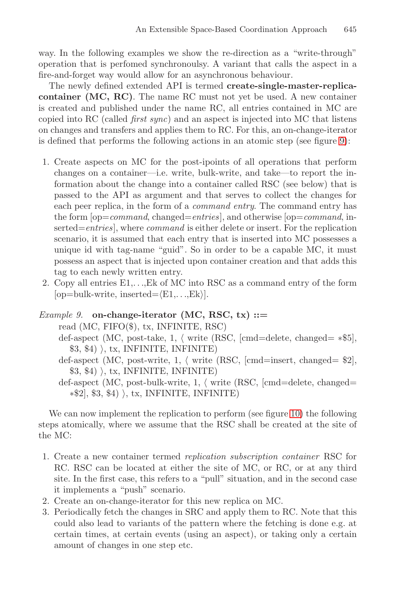way. In the following examples we show the re-direction as a "write-through" operation that is perfomed synchronoulsy. A variant that calls the aspect in a fire-and-forget way would allow for an asynchronous behaviour.

The newly defined extended API is termed **create-single-master-replicacontainer (MC, RC)**. The name RC must not yet be used. A new container is created and published under the name RC, all entries contained in MC are copied into RC (called *first sync*) and an aspect is injected into MC that listens on changes and transfers and applies them to RC. For this, an on-change-iterator is defined that performs the following actions in an atomic step (see figure [9\)](#page-11-0):

- 1. Create aspects on MC for the post-ipoints of all operations that perform changes on a container—i.e. write, bulk-write, and take—to report the information about the change into a container called RSC (see below) that is passed to the API as argument and that serves to collect the changes for each peer replica, in the form of a command entry. The command entry has the form [op=command, changed=entries], and otherwise [op=command, inserted=entries], where *command* is either delete or insert. For the replication scenario, it is assumed that each entry that is inserted into MC possesses a unique id with tag-name "guid". So in order to be a capable MC, it must possess an aspect that is injected upon container creation and that adds this tag to each newly written entry.
- 2. Copy all entries E1,...,Ek of MC into RSC as a command entry of the form  $[op=bulk-write, inserted={\langle E1,...,Ek\rangle}].$

### <span id="page-11-0"></span>Example 9. **on-change-iterator (MC, RSC, tx) ::=**

read (MC, FIFO(\$), tx, INFINITE, RSC)

def-aspect (MC, post-take, 1,  $\langle$  write (RSC, [cmd=delete, changed=  $*\$5$ ],  $$3, $4)$ , tx, INFINITE, INFINITE)

- def-aspect (MC, post-write,  $1$ ,  $\langle$  write (RSC, [cmd=insert, changed= \$2],  $$3, $4)$ , tx, INFINITE, INFINITE)
- def-aspect (MC, post-bulk-write,  $1$ ,  $\langle$  write (RSC, [cmd=delete, changed=  $*$ \$2, \$3, \$4)  $\langle$ , tx, INFINITE, INFINITE

We can now implement the replication to perform (see figure [10\)](#page-11-1) the following steps atomically, where we assume that the RSC shall be created at the site of the MC:

- 1. Create a new container termed replication subscription container RSC for RC. RSC can be located at either the site of MC, or RC, or at any third site. In the first case, this refers to a "pull" situation, and in the second case it implements a "push" scenario.
- 2. Create an on-change-iterator for this new replica on MC.
- <span id="page-11-1"></span>3. Periodically fetch the changes in SRC and apply them to RC. Note that this could also lead to variants of the pattern where the fetching is done e.g. at certain times, at certain events (using an aspect), or taking only a certain amount of changes in one step etc.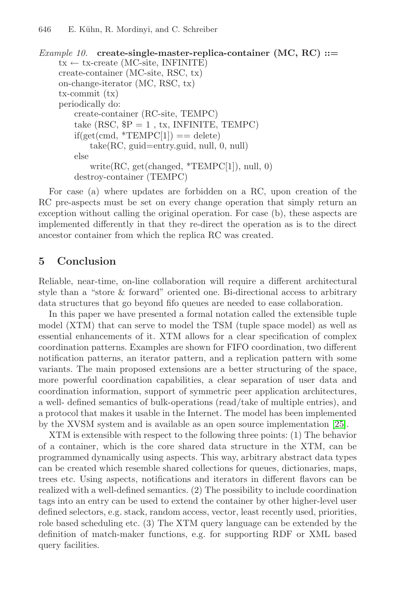```
Example 10. create-single-master-replica-container (MC, RC) ::=
   tx \leftarrow tx\text{-create (MC-site, INFINITE)}create-container (MC-site, RSC, tx)
   on-change-iterator (MC, RSC, tx)
   tx-commit (tx)
   periodically do:
       create-container (RC-site, TEMPC)
       take (RSC, \$P = 1, tx, INFINITE, TEMPC)if(\text{get}(cmd, *TEMPC[1]) == delete)take(RC, guid=entry.guid, null, 0, null)
       else
           write(RC, get(changed, *TEMPC[1]), null, 0)
       destroy-container (TEMPC)
```
For case (a) where updates are forbidden on a RC, upon creation of the RC pre-aspects must be set on every change operation that simply return an exception without calling the original operation. For case (b), these aspects are implemented differently in that they re-direct the operation as is to the direct ancestor container from which the replica RC was created.

# **5 Conclusion**

Reliable, near-time, on-line collaboration will require a different architectural style than a "store & forward" oriented one. Bi-directional access to arbitrary data structures that go beyond fifo queues are needed to ease collaboration.

In this paper we have presented a formal notation called the extensible tuple model (XTM) that can serve to model the TSM (tuple space model) as well as essential enhancements of it. XTM allows for a clear specification of complex coordination patterns. Examples are shown for FIFO coordination, two different notification patterns, an iterator pattern, and a replication pattern with some variants. The main proposed extensions are a better structuring of the space, more powerful coordination capabilities, a clear separation of user data and coordination information, support of symmetric peer application architectures, a well- defined semantics of bulk-operations (read/take of multiple entries), and a protocol that makes it usable in the Internet. The model has been implemented by the XVSM system and is available as an open source implementation [\[25\]](#page-14-4).

XTM is extensible with respect to the following three points: (1) The behavior of a container, which is the core shared data structure in the XTM, can be programmed dynamically using aspects. This way, arbitrary abstract data types can be created which resemble shared collections for queues, dictionaries, maps, trees etc. Using aspects, notifications and iterators in different flavors can be realized with a well-defined semantics. (2) The possibility to include coordination tags into an entry can be used to extend the container by other higher-level user defined selectors, e.g. stack, random access, vector, least recently used, priorities, role based scheduling etc. (3) The XTM query language can be extended by the definition of match-maker functions, e.g. for supporting RDF or XML based query facilities.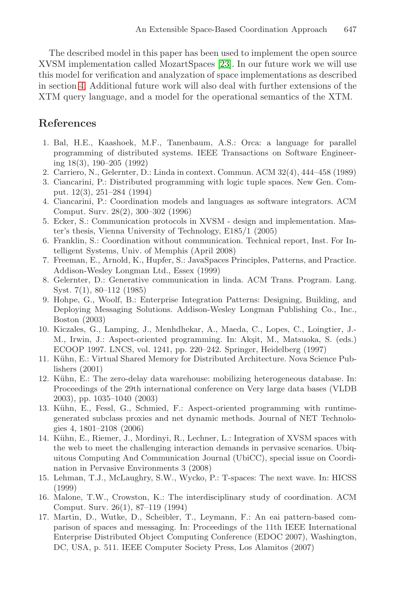The described model in this paper has been used to implement the open source XVSM implementation called MozartSpaces [\[23\]](#page-14-12). In our future work we will use this model for verification and analyzation of space implementations as described in section [4.](#page-8-0) Additional future work will also deal with further extensions of the XTM query language, and a model for the operational semantics of the XTM.

# <span id="page-13-16"></span>**References**

- 1. Bal, H.E., Kaashoek, M.F., Tanenbaum, A.S.: Orca: a language for parallel programming of distributed systems. IEEE Transactions on Software Engineering 18(3), 190–205 (1992)
- <span id="page-13-7"></span><span id="page-13-3"></span>2. Carriero, N., Gelernter, D.: Linda in context. Commun. ACM 32(4), 444–458 (1989)
- 3. Ciancarini, P.: Distributed programming with logic tuple spaces. New Gen. Comput. 12(3), 251–284 (1994)
- <span id="page-13-1"></span>4. Ciancarini, P.: Coordination models and languages as software integrators. ACM Comput. Surv. 28(2), 300–302 (1996)
- <span id="page-13-13"></span>5. Ecker, S.: Communication protocols in XVSM - design and implementation. Master's thesis, Vienna University of Technology, E185/1 (2005)
- <span id="page-13-2"></span>6. Franklin, S.: Coordination without communication. Technical report, Inst. For Intelligent Systems, Univ. of Memphis (April 2008)
- <span id="page-13-5"></span>7. Freeman, E., Arnold, K., Hupfer, S.: JavaSpaces Principles, Patterns, and Practice. Addison-Wesley Longman Ltd., Essex (1999)
- <span id="page-13-4"></span>8. Gelernter, D.: Generative communication in linda. ACM Trans. Program. Lang. Syst. 7(1), 80–112 (1985)
- <span id="page-13-8"></span>9. Hohpe, G., Woolf, B.: Enterprise Integration Patterns: Designing, Building, and Deploying Messaging Solutions. Addison-Wesley Longman Publishing Co., Inc., Boston (2003)
- <span id="page-13-14"></span>10. Kiczales, G., Lamping, J., Menhdhekar, A., Maeda, C., Lopes, C., Loingtier, J.- M., Irwin, J.: Aspect-oriented programming. In: Aksit, M., Matsuoka, S. (eds.) ECOOP 1997. LNCS, vol. 1241, pp. 220–242. Springer, Heidelberg (1997)
- <span id="page-13-12"></span>11. Kühn, E.: Virtual Shared Memory for Distributed Architecture. Nova Science Publishers (2001)
- <span id="page-13-11"></span>12. Kühn, E.: The zero-delay data warehouse: mobilizing heterogeneous database. In: Proceedings of the 29th international conference on Very large data bases (VLDB 2003), pp. 1035–1040 (2003)
- <span id="page-13-15"></span>13. K¨uhn, E., Fessl, G., Schmied, F.: Aspect-oriented programming with runtimegenerated subclass proxies and net dynamic methods. Journal of NET Technologies 4, 1801–2108 (2006)
- <span id="page-13-9"></span>14. Kühn, E., Riemer, J., Mordinyi, R., Lechner, L.: Integration of XVSM spaces with the web to meet the challenging interaction demands in pervasive scenarios. Ubiquitous Computing And Communication Journal (UbiCC), special issue on Coordination in Pervasive Environments 3 (2008)
- <span id="page-13-6"></span>15. Lehman, T.J., McLaughry, S.W., Wycko, P.: T-spaces: The next wave. In: HICSS (1999)
- <span id="page-13-0"></span>16. Malone, T.W., Crowston, K.: The interdisciplinary study of coordination. ACM Comput. Surv. 26(1), 87–119 (1994)
- <span id="page-13-10"></span>17. Martin, D., Wutke, D., Scheibler, T., Leymann, F.: An eai pattern-based comparison of spaces and messaging. In: Proceedings of the 11th IEEE International Enterprise Distributed Object Computing Conference (EDOC 2007), Washington, DC, USA, p. 511. IEEE Computer Society Press, Los Alamitos (2007)